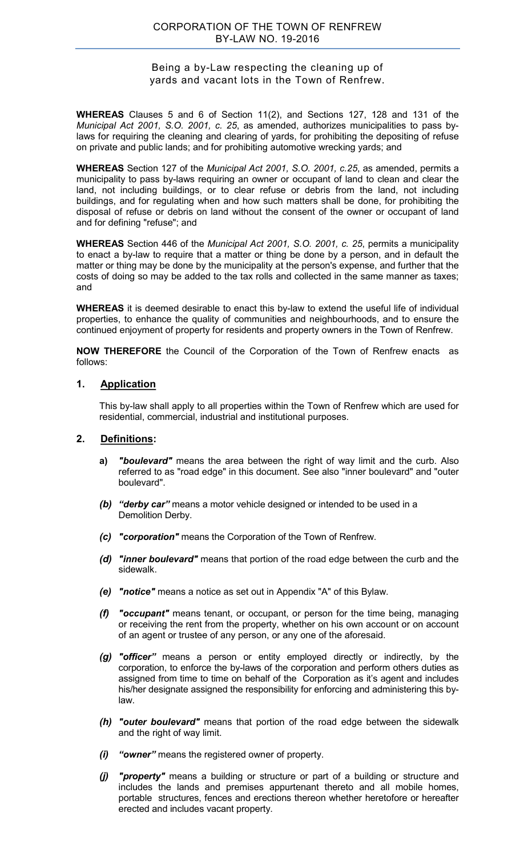## Being a by-Law respecting the cleaning up of yards and vacant lots in the Town of Renfrew.

**WHEREAS** Clauses 5 and 6 of Section 11(2), and Sections 127, 128 and 131 of the *Municipal Act 2001, S.O. 2001, c. 25*, as amended, authorizes municipalities to pass bylaws for requiring the cleaning and clearing of yards, for prohibiting the depositing of refuse on private and public lands; and for prohibiting automotive wrecking yards; and

**WHEREAS** Section 127 of the *Municipal Act 2001, S.O. 2001, c.25*, as amended, permits a municipality to pass by-laws requiring an owner or occupant of land to clean and clear the land, not including buildings, or to clear refuse or debris from the land, not including buildings, and for regulating when and how such matters shall be done, for prohibiting the disposal of refuse or debris on land without the consent of the owner or occupant of land and for defining "refuse"; and

**WHEREAS** Section 446 of the *Municipal Act 2001, S.O. 2001, c. 25*, permits a municipality to enact a by-law to require that a matter or thing be done by a person, and in default the matter or thing may be done by the municipality at the person's expense, and further that the costs of doing so may be added to the tax rolls and collected in the same manner as taxes; and

**WHEREAS** it is deemed desirable to enact this by-law to extend the useful life of individual properties, to enhance the quality of communities and neighbourhoods, and to ensure the continued enjoyment of property for residents and property owners in the Town of Renfrew.

**NOW THEREFORE** the Council of the Corporation of the Town of Renfrew enacts as follows:

## **1. Application**

This by-law shall apply to all properties within the Town of Renfrew which are used for residential, commercial, industrial and institutional purposes.

#### **2. Definitions:**

- **a)** *"boulevard"* means the area between the right of way limit and the curb. Also referred to as "road edge" in this document. See also "inner boulevard" and "outer boulevard".
- *(b) "derby car"* means a motor vehicle designed or intended to be used in a Demolition Derby.
- *(c) "corporation"* means the Corporation of the Town of Renfrew.
- *(d) "inner boulevard"* means that portion of the road edge between the curb and the sidewalk.
- *(e) "notice"* means a notice as set out in Appendix "A" of this Bylaw.
- *(f) "occupant"* means tenant, or occupant, or person for the time being, managing or receiving the rent from the property, whether on his own account or on account of an agent or trustee of any person, or any one of the aforesaid.
- *(g) "officer"* means a person or entity employed directly or indirectly, by the corporation, to enforce the by-laws of the corporation and perform others duties as assigned from time to time on behalf of the Corporation as it's agent and includes his/her designate assigned the responsibility for enforcing and administering this bylaw.
- *(h) "outer boulevard"* means that portion of the road edge between the sidewalk and the right of way limit.
- *(i) "owner"* means the registered owner of property.
- *(j) "property"* means a building or structure or part of a building or structure and includes the lands and premises appurtenant thereto and all mobile homes, portable structures, fences and erections thereon whether heretofore or hereafter erected and includes vacant property.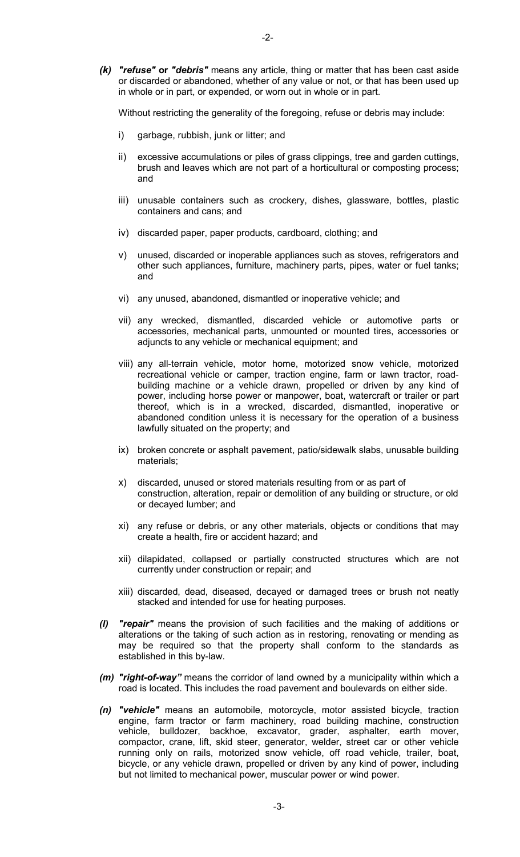*(k) "refuse"* **or** *"debris"* means any article, thing or matter that has been cast aside or discarded or abandoned, whether of any value or not, or that has been used up in whole or in part, or expended, or worn out in whole or in part.

Without restricting the generality of the foregoing, refuse or debris may include:

- i) garbage, rubbish, junk or litter; and
- ii) excessive accumulations or piles of grass clippings, tree and garden cuttings, brush and leaves which are not part of a horticultural or composting process; and
- iii) unusable containers such as crockery, dishes, glassware, bottles, plastic containers and cans; and
- iv) discarded paper, paper products, cardboard, clothing; and
- v) unused, discarded or inoperable appliances such as stoves, refrigerators and other such appliances, furniture, machinery parts, pipes, water or fuel tanks; and
- vi) any unused, abandoned, dismantled or inoperative vehicle; and
- vii) any wrecked, dismantled, discarded vehicle or automotive parts or accessories, mechanical parts, unmounted or mounted tires, accessories or adjuncts to any vehicle or mechanical equipment; and
- viii) any all-terrain vehicle, motor home, motorized snow vehicle, motorized recreational vehicle or camper, traction engine, farm or lawn tractor, roadbuilding machine or a vehicle drawn, propelled or driven by any kind of power, including horse power or manpower, boat, watercraft or trailer or part thereof, which is in a wrecked, discarded, dismantled, inoperative or abandoned condition unless it is necessary for the operation of a business lawfully situated on the property; and
- ix) broken concrete or asphalt pavement, patio/sidewalk slabs, unusable building materials;
- x) discarded, unused or stored materials resulting from or as part of construction, alteration, repair or demolition of any building or structure, or old or decayed lumber; and
- xi) any refuse or debris, or any other materials, objects or conditions that may create a health, fire or accident hazard; and
- xii) dilapidated, collapsed or partially constructed structures which are not currently under construction or repair; and
- xiii) discarded, dead, diseased, decayed or damaged trees or brush not neatly stacked and intended for use for heating purposes.
- *(l) "repair"* means the provision of such facilities and the making of additions or alterations or the taking of such action as in restoring, renovating or mending as may be required so that the property shall conform to the standards as established in this by-law.
- *(m) "right-of-way"* means the corridor of land owned by a municipality within which a road is located. This includes the road pavement and boulevards on either side.
- *(n) "vehicle"* means an automobile, motorcycle, motor assisted bicycle, traction engine, farm tractor or farm machinery, road building machine, construction vehicle, bulldozer, backhoe, excavator, grader, asphalter, earth mover, compactor, crane, lift, skid steer, generator, welder, street car or other vehicle running only on rails, motorized snow vehicle, off road vehicle, trailer, boat, bicycle, or any vehicle drawn, propelled or driven by any kind of power, including but not limited to mechanical power, muscular power or wind power.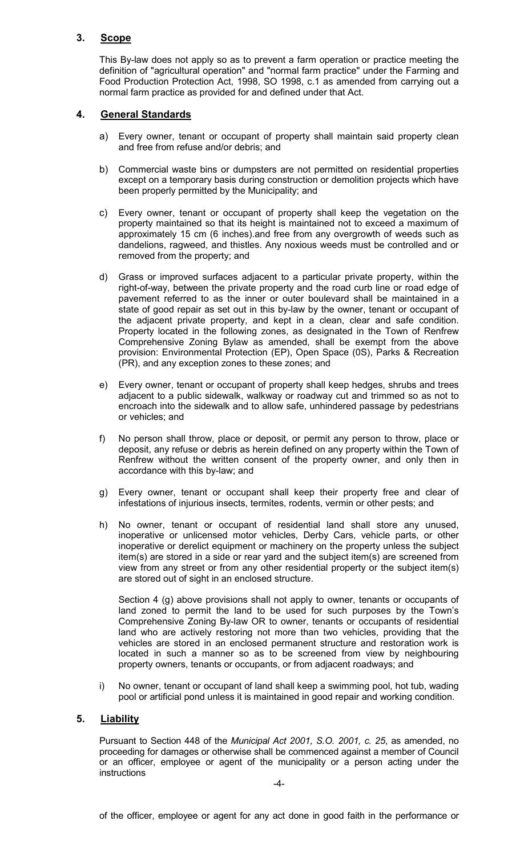## **3. Scope**

This By-law does not apply so as to prevent a farm operation or practice meeting the definition of "agricultural operation" and "normal farm practice" under the Farming and Food Production Protection Act, 1998, SO 1998, c.1 as amended from carrying out a normal farm practice as provided for and defined under that Act.

## **4. General Standards**

- a) Every owner, tenant or occupant of property shall maintain said property clean and free from refuse and/or debris; and
- b) Commercial waste bins or dumpsters are not permitted on residential properties except on a temporary basis during construction or demolition projects which have been properly permitted by the Municipality; and
- c) Every owner, tenant or occupant of property shall keep the vegetation on the property maintained so that its height is maintained not to exceed a maximum of approximately 15 cm (6 inches).and free from any overgrowth of weeds such as dandelions, ragweed, and thistles. Any noxious weeds must be controlled and or removed from the property; and
- d) Grass or improved surfaces adjacent to a particular private property, within the right-of-way, between the private property and the road curb line or road edge of pavement referred to as the inner or outer boulevard shall be maintained in a state of good repair as set out in this by-law by the owner, tenant or occupant of the adjacent private property, and kept in a clean, clear and safe condition. Property located in the following zones, as designated in the Town of Renfrew Comprehensive Zoning Bylaw as amended, shall be exempt from the above provision: Environmental Protection (EP), Open Space (0S), Parks & Recreation (PR), and any exception zones to these zones; and
- e) Every owner, tenant or occupant of property shall keep hedges, shrubs and trees adjacent to a public sidewalk, walkway or roadway cut and trimmed so as not to encroach into the sidewalk and to allow safe, unhindered passage by pedestrians or vehicles; and
- f) No person shall throw, place or deposit, or permit any person to throw, place or deposit, any refuse or debris as herein defined on any property within the Town of Renfrew without the written consent of the property owner, and only then in accordance with this by-law; and
- g) Every owner, tenant or occupant shall keep their property free and clear of infestations of injurious insects, termites, rodents, vermin or other pests; and
- h) No owner, tenant or occupant of residential land shall store any unused, inoperative or unlicensed motor vehicles, Derby Cars, vehicle parts, or other inoperative or derelict equipment or machinery on the property unless the subject item(s) are stored in a side or rear yard and the subject item(s) are screened from view from any street or from any other residential property or the subject item(s) are stored out of sight in an enclosed structure.

Section 4 (g) above provisions shall not apply to owner, tenants or occupants of land zoned to permit the land to be used for such purposes by the Town's Comprehensive Zoning By-law OR to owner, tenants or occupants of residential land who are actively restoring not more than two vehicles, providing that the vehicles are stored in an enclosed permanent structure and restoration work is located in such a manner so as to be screened from view by neighbouring property owners, tenants or occupants, or from adjacent roadways; and

i) No owner, tenant or occupant of land shall keep a swimming pool, hot tub, wading pool or artificial pond unless it is maintained in good repair and working condition.

#### **5. Liability**

Pursuant to Section 448 of the *Municipal Act 2001, S.O. 2001, c. 25*, as amended, no proceeding for damages or otherwise shall be commenced against a member of Council or an officer, employee or agent of the municipality or a person acting under the instructions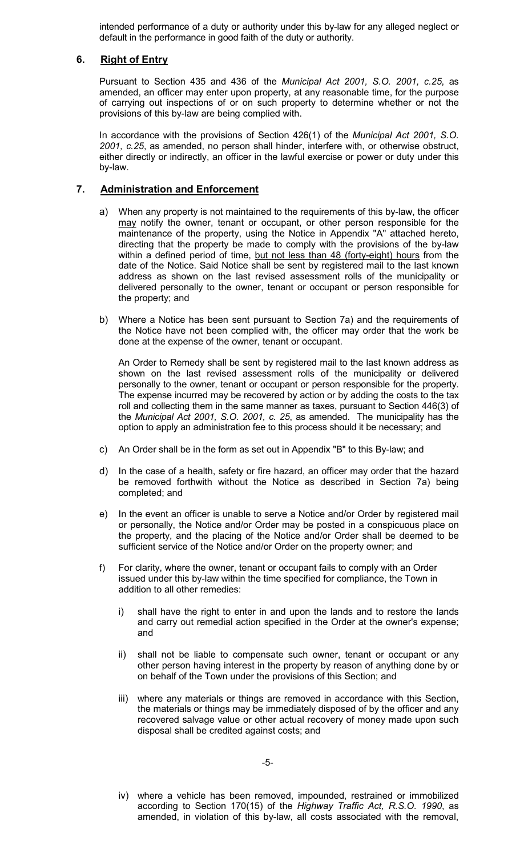intended performance of a duty or authority under this by-law for any alleged neglect or default in the performance in good faith of the duty or authority.

## **6. Right of Entry**

Pursuant to Section 435 and 436 of the *Municipal Act 2001, S.O. 2001, c.25*, as amended, an officer may enter upon property, at any reasonable time, for the purpose of carrying out inspections of or on such property to determine whether or not the provisions of this by-law are being complied with.

In accordance with the provisions of Section 426(1) of the *Municipal Act 2001, S.O. 2001, c.25*, as amended, no person shall hinder, interfere with, or otherwise obstruct, either directly or indirectly, an officer in the lawful exercise or power or duty under this by-law.

## **7. Administration and Enforcement**

- a) When any property is not maintained to the requirements of this by-law, the officer may notify the owner, tenant or occupant, or other person responsible for the maintenance of the property, using the Notice in Appendix "A" attached hereto, directing that the property be made to comply with the provisions of the by-law within a defined period of time, but not less than 48 (forty-eight) hours from the date of the Notice. Said Notice shall be sent by registered mail to the last known address as shown on the last revised assessment rolls of the municipality or delivered personally to the owner, tenant or occupant or person responsible for the property; and
- b) Where a Notice has been sent pursuant to Section 7a) and the requirements of the Notice have not been complied with, the officer may order that the work be done at the expense of the owner, tenant or occupant.

An Order to Remedy shall be sent by registered mail to the last known address as shown on the last revised assessment rolls of the municipality or delivered personally to the owner, tenant or occupant or person responsible for the property. The expense incurred may be recovered by action or by adding the costs to the tax roll and collecting them in the same manner as taxes, pursuant to Section 446(3) of the *Municipal Act 2001, S.O. 2001, c. 25*, as amended. The municipality has the option to apply an administration fee to this process should it be necessary; and

- c) An Order shall be in the form as set out in Appendix "B" to this By-law; and
- d) In the case of a health, safety or fire hazard, an officer may order that the hazard be removed forthwith without the Notice as described in Section 7a) being completed; and
- e) In the event an officer is unable to serve a Notice and/or Order by registered mail or personally, the Notice and/or Order may be posted in a conspicuous place on the property, and the placing of the Notice and/or Order shall be deemed to be sufficient service of the Notice and/or Order on the property owner; and
- f) For clarity, where the owner, tenant or occupant fails to comply with an Order issued under this by-law within the time specified for compliance, the Town in addition to all other remedies:
	- i) shall have the right to enter in and upon the lands and to restore the lands and carry out remedial action specified in the Order at the owner's expense; and
	- ii) shall not be liable to compensate such owner, tenant or occupant or any other person having interest in the property by reason of anything done by or on behalf of the Town under the provisions of this Section; and
	- iii) where any materials or things are removed in accordance with this Section, the materials or things may be immediately disposed of by the officer and any recovered salvage value or other actual recovery of money made upon such disposal shall be credited against costs; and

iv) where a vehicle has been removed, impounded, restrained or immobilized according to Section 170(15) of the *Highway Traffic Act, R.S.O. 1990*, as amended, in violation of this by-law, all costs associated with the removal,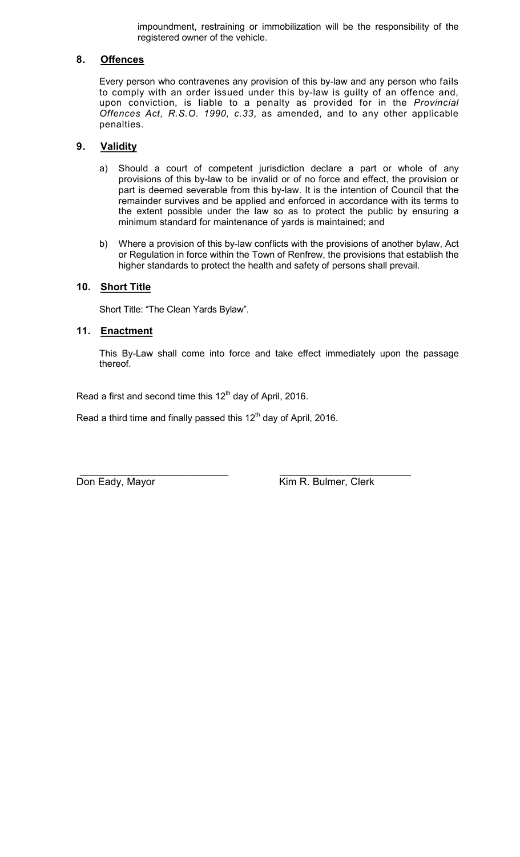impoundment, restraining or immobilization will be the responsibility of the registered owner of the vehicle.

## **8. Offences**

Every person who contravenes any provision of this by-law and any person who fails to comply with an order issued under this by-law is guilty of an offence and, upon conviction, is liable to a penalty as provided for in the *Provincial Offences Act, R.S.O. 1990, c.33*, as amended, and to any other applicable penalties.

## **9. Validity**

- a) Should a court of competent jurisdiction declare a part or whole of any provisions of this by-law to be invalid or of no force and effect, the provision or part is deemed severable from this by-law. It is the intention of Council that the remainder survives and be applied and enforced in accordance with its terms to the extent possible under the law so as to protect the public by ensuring a minimum standard for maintenance of yards is maintained; and
- b) Where a provision of this by-law conflicts with the provisions of another bylaw, Act or Regulation in force within the Town of Renfrew, the provisions that establish the higher standards to protect the health and safety of persons shall prevail.

## **10. Short Title**

Short Title: "The Clean Yards Bylaw".

## **11. Enactment**

This By-Law shall come into force and take effect immediately upon the passage thereof.

Read a first and second time this 12<sup>th</sup> day of April, 2016.

Read a third time and finally passed this  $12<sup>th</sup>$  day of April, 2016.

 \_\_\_\_\_\_\_\_\_\_\_\_\_\_\_\_\_\_\_\_\_\_\_\_\_\_ \_\_\_\_\_\_\_\_\_\_\_\_\_\_\_\_\_\_\_\_\_\_\_ Don Eady, Mayor **Kim R. Bulmer, Clerk**